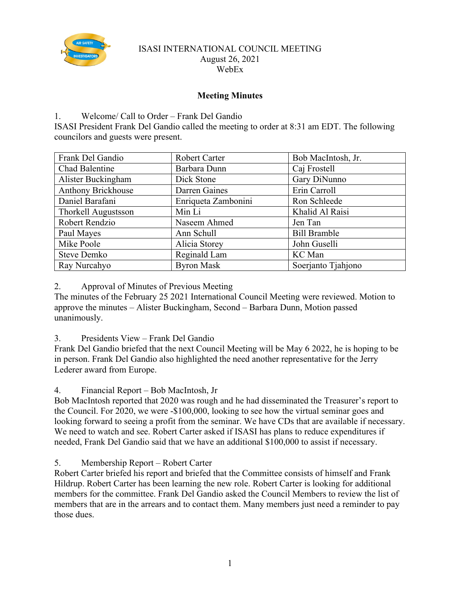

### ISASI INTERNATIONAL COUNCIL MEETING August 26, 2021 WebEx

# **Meeting Minutes**

# 1. Welcome/ Call to Order – Frank Del Gandio

ISASI President Frank Del Gandio called the meeting to order at 8:31 am EDT. The following councilors and guests were present.

| Frank Del Gandio    | <b>Robert Carter</b> | Bob MacIntosh, Jr.  |
|---------------------|----------------------|---------------------|
| Chad Balentine      | Barbara Dunn         | Caj Frostell        |
| Alister Buckingham  | Dick Stone           | Gary DiNunno        |
| Anthony Brickhouse  | Darren Gaines        | Erin Carroll        |
| Daniel Barafani     | Enriqueta Zambonini  | Ron Schleede        |
| Thorkell Augustsson | Min Li               | Khalid Al Raisi     |
| Robert Rendzio      | Naseem Ahmed         | Jen Tan             |
| Paul Mayes          | Ann Schull           | <b>Bill Bramble</b> |
| Mike Poole          | Alicia Storey        | John Guselli        |
| Steve Demko         | Reginald Lam         | KC Man              |
| Ray Nurcahyo        | <b>Byron Mask</b>    | Soerjanto Tjahjono  |

2. Approval of Minutes of Previous Meeting

The minutes of the February 25 2021 International Council Meeting were reviewed. Motion to approve the minutes – Alister Buckingham, Second – Barbara Dunn, Motion passed unanimously.

3. Presidents View – Frank Del Gandio

Frank Del Gandio briefed that the next Council Meeting will be May 6 2022, he is hoping to be in person. Frank Del Gandio also highlighted the need another representative for the Jerry Lederer award from Europe.

4. Financial Report – Bob MacIntosh, Jr

Bob MacIntosh reported that 2020 was rough and he had disseminated the Treasurer's report to the Council. For 2020, we were -\$100,000, looking to see how the virtual seminar goes and looking forward to seeing a profit from the seminar. We have CDs that are available if necessary. We need to watch and see. Robert Carter asked if ISASI has plans to reduce expenditures if needed, Frank Del Gandio said that we have an additional \$100,000 to assist if necessary.

5. Membership Report – Robert Carter

Robert Carter briefed his report and briefed that the Committee consists of himself and Frank Hildrup. Robert Carter has been learning the new role. Robert Carter is looking for additional members for the committee. Frank Del Gandio asked the Council Members to review the list of members that are in the arrears and to contact them. Many members just need a reminder to pay those dues.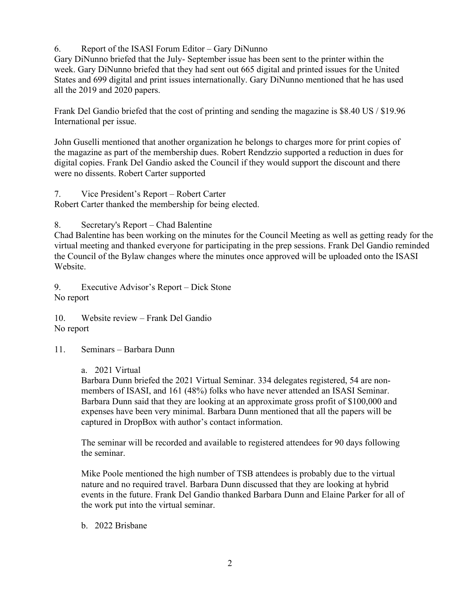6. Report of the ISASI Forum Editor – Gary DiNunno

Gary DiNunno briefed that the July- September issue has been sent to the printer within the week. Gary DiNunno briefed that they had sent out 665 digital and printed issues for the United States and 699 digital and print issues internationally. Gary DiNunno mentioned that he has used all the 2019 and 2020 papers.

Frank Del Gandio briefed that the cost of printing and sending the magazine is \$8.40 US / \$19.96 International per issue.

John Guselli mentioned that another organization he belongs to charges more for print copies of the magazine as part of the membership dues. Robert Rendzzio supported a reduction in dues for digital copies. Frank Del Gandio asked the Council if they would support the discount and there were no dissents. Robert Carter supported

7. Vice President's Report – Robert Carter Robert Carter thanked the membership for being elected.

8. Secretary's Report – Chad Balentine

Chad Balentine has been working on the minutes for the Council Meeting as well as getting ready for the virtual meeting and thanked everyone for participating in the prep sessions. Frank Del Gandio reminded the Council of the Bylaw changes where the minutes once approved will be uploaded onto the ISASI Website.

9. Executive Advisor's Report – Dick Stone No report

10. Website review – Frank Del Gandio No report

11. Seminars – Barbara Dunn

# a. 2021 Virtual

Barbara Dunn briefed the 2021 Virtual Seminar. 334 delegates registered, 54 are nonmembers of ISASI, and 161 (48%) folks who have never attended an ISASI Seminar. Barbara Dunn said that they are looking at an approximate gross profit of \$100,000 and expenses have been very minimal. Barbara Dunn mentioned that all the papers will be captured in DropBox with author's contact information.

The seminar will be recorded and available to registered attendees for 90 days following the seminar.

Mike Poole mentioned the high number of TSB attendees is probably due to the virtual nature and no required travel. Barbara Dunn discussed that they are looking at hybrid events in the future. Frank Del Gandio thanked Barbara Dunn and Elaine Parker for all of the work put into the virtual seminar.

b. 2022 Brisbane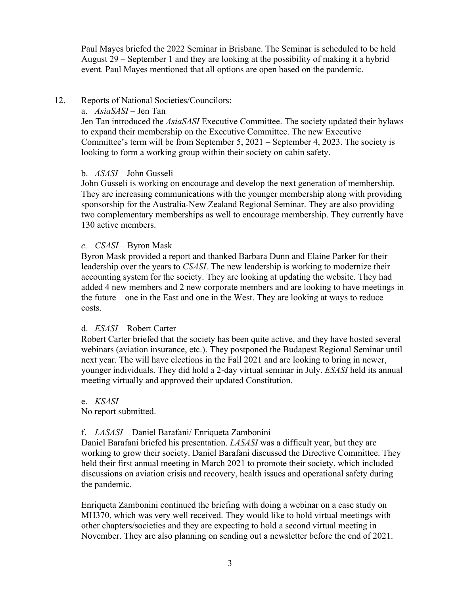Paul Mayes briefed the 2022 Seminar in Brisbane. The Seminar is scheduled to be held August 29 – September 1 and they are looking at the possibility of making it a hybrid event. Paul Mayes mentioned that all options are open based on the pandemic.

# 12. Reports of National Societies/Councilors:

### a. *AsiaSASI –* Jen Tan

Jen Tan introduced the *AsiaSASI* Executive Committee. The society updated their bylaws to expand their membership on the Executive Committee. The new Executive Committee's term will be from September 5, 2021 – September 4, 2023. The society is looking to form a working group within their society on cabin safety.

## b. *ASASI* – John Gusseli

John Gusseli is working on encourage and develop the next generation of membership. They are increasing communications with the younger membership along with providing sponsorship for the Australia-New Zealand Regional Seminar. They are also providing two complementary memberships as well to encourage membership. They currently have 130 active members.

## *c. CSASI –* Byron Mask

Byron Mask provided a report and thanked Barbara Dunn and Elaine Parker for their leadership over the years to *CSASI*. The new leadership is working to modernize their accounting system for the society. They are looking at updating the website. They had added 4 new members and 2 new corporate members and are looking to have meetings in the future – one in the East and one in the West. They are looking at ways to reduce costs.

### d. *ESASI –* Robert Carter

Robert Carter briefed that the society has been quite active, and they have hosted several webinars (aviation insurance, etc.). They postponed the Budapest Regional Seminar until next year. The will have elections in the Fall 2021 and are looking to bring in newer, younger individuals. They did hold a 2-day virtual seminar in July. *ESASI* held its annual meeting virtually and approved their updated Constitution.

### e. *KSASI* –

No report submitted.

# f. *LASASI* – Daniel Barafani/ Enriqueta Zambonini

Daniel Barafani briefed his presentation. *LASASI* was a difficult year, but they are working to grow their society. Daniel Barafani discussed the Directive Committee. They held their first annual meeting in March 2021 to promote their society, which included discussions on aviation crisis and recovery, health issues and operational safety during the pandemic.

Enriqueta Zambonini continued the briefing with doing a webinar on a case study on MH370, which was very well received. They would like to hold virtual meetings with other chapters/societies and they are expecting to hold a second virtual meeting in November. They are also planning on sending out a newsletter before the end of 2021.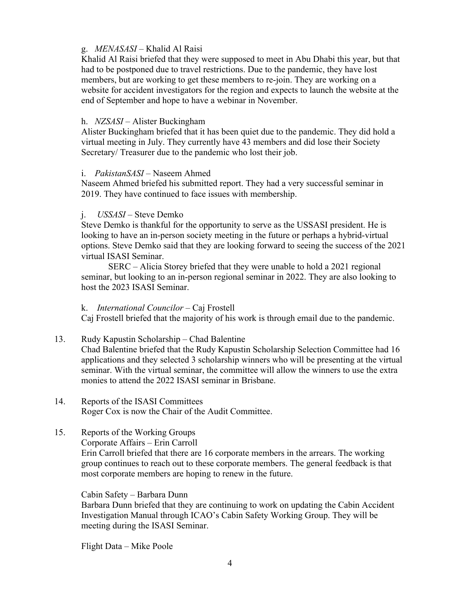# g. *MENASASI –* Khalid Al Raisi

Khalid Al Raisi briefed that they were supposed to meet in Abu Dhabi this year, but that had to be postponed due to travel restrictions. Due to the pandemic, they have lost members, but are working to get these members to re-join. They are working on a website for accident investigators for the region and expects to launch the website at the end of September and hope to have a webinar in November.

### h. *NZSASI* – Alister Buckingham

Alister Buckingham briefed that it has been quiet due to the pandemic. They did hold a virtual meeting in July. They currently have 43 members and did lose their Society Secretary/ Treasurer due to the pandemic who lost their job.

#### i. *PakistanSASI* – Naseem Ahmed

Naseem Ahmed briefed his submitted report. They had a very successful seminar in 2019. They have continued to face issues with membership.

#### j. *USSASI* – Steve Demko

Steve Demko is thankful for the opportunity to serve as the USSASI president. He is looking to have an in-person society meeting in the future or perhaps a hybrid-virtual options. Steve Demko said that they are looking forward to seeing the success of the 2021 virtual ISASI Seminar.

SERC – Alicia Storey briefed that they were unable to hold a 2021 regional seminar, but looking to an in-person regional seminar in 2022. They are also looking to host the 2023 ISASI Seminar.

### k. *International Councilor –* Caj Frostell

Caj Frostell briefed that the majority of his work is through email due to the pandemic.

### 13. Rudy Kapustin Scholarship – Chad Balentine

Chad Balentine briefed that the Rudy Kapustin Scholarship Selection Committee had 16 applications and they selected 3 scholarship winners who will be presenting at the virtual seminar. With the virtual seminar, the committee will allow the winners to use the extra monies to attend the 2022 ISASI seminar in Brisbane.

### 14. Reports of the ISASI Committees Roger Cox is now the Chair of the Audit Committee.

### 15. Reports of the Working Groups

Corporate Affairs – Erin Carroll

Erin Carroll briefed that there are 16 corporate members in the arrears. The working group continues to reach out to these corporate members. The general feedback is that most corporate members are hoping to renew in the future.

#### Cabin Safety – Barbara Dunn

Barbara Dunn briefed that they are continuing to work on updating the Cabin Accident Investigation Manual through ICAO's Cabin Safety Working Group. They will be meeting during the ISASI Seminar.

Flight Data – Mike Poole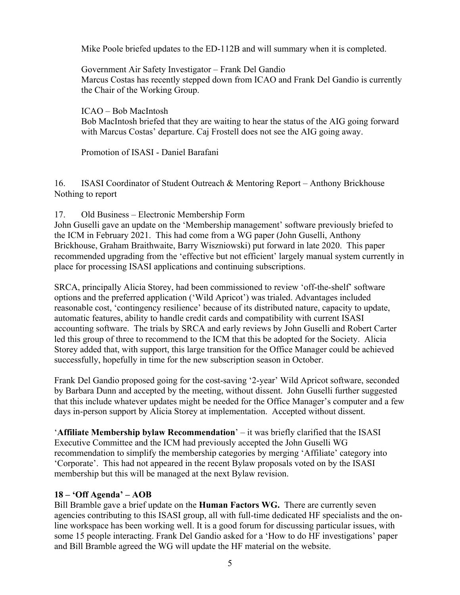Mike Poole briefed updates to the ED-112B and will summary when it is completed.

Government Air Safety Investigator – Frank Del Gandio Marcus Costas has recently stepped down from ICAO and Frank Del Gandio is currently the Chair of the Working Group.

ICAO – Bob MacIntosh

Bob MacIntosh briefed that they are waiting to hear the status of the AIG going forward with Marcus Costas' departure. Caj Frostell does not see the AIG going away.

Promotion of ISASI - Daniel Barafani

16. ISASI Coordinator of Student Outreach & Mentoring Report – Anthony Brickhouse Nothing to report

17. Old Business – Electronic Membership Form

John Guselli gave an update on the 'Membership management' software previously briefed to the ICM in February 2021. This had come from a WG paper (John Guselli, Anthony Brickhouse, Graham Braithwaite, Barry Wiszniowski) put forward in late 2020. This paper recommended upgrading from the 'effective but not efficient' largely manual system currently in place for processing ISASI applications and continuing subscriptions.

SRCA, principally Alicia Storey, had been commissioned to review 'off-the-shelf' software options and the preferred application ('Wild Apricot') was trialed. Advantages included reasonable cost, 'contingency resilience' because of its distributed nature, capacity to update, automatic features, ability to handle credit cards and compatibility with current ISASI accounting software. The trials by SRCA and early reviews by John Guselli and Robert Carter led this group of three to recommend to the ICM that this be adopted for the Society. Alicia Storey added that, with support, this large transition for the Office Manager could be achieved successfully, hopefully in time for the new subscription season in October.

Frank Del Gandio proposed going for the cost-saving '2-year' Wild Apricot software, seconded by Barbara Dunn and accepted by the meeting, without dissent. John Guselli further suggested that this include whatever updates might be needed for the Office Manager's computer and a few days in-person support by Alicia Storey at implementation. Accepted without dissent.

'**Affiliate Membership bylaw Recommendation**' – it was briefly clarified that the ISASI Executive Committee and the ICM had previously accepted the John Guselli WG recommendation to simplify the membership categories by merging 'Affiliate' category into 'Corporate'. This had not appeared in the recent Bylaw proposals voted on by the ISASI membership but this will be managed at the next Bylaw revision.

# **18 – 'Off Agenda' – AOB**

Bill Bramble gave a brief update on the **Human Factors WG.** There are currently seven agencies contributing to this ISASI group, all with full-time dedicated HF specialists and the online workspace has been working well. It is a good forum for discussing particular issues, with some 15 people interacting. Frank Del Gandio asked for a 'How to do HF investigations' paper and Bill Bramble agreed the WG will update the HF material on the website.